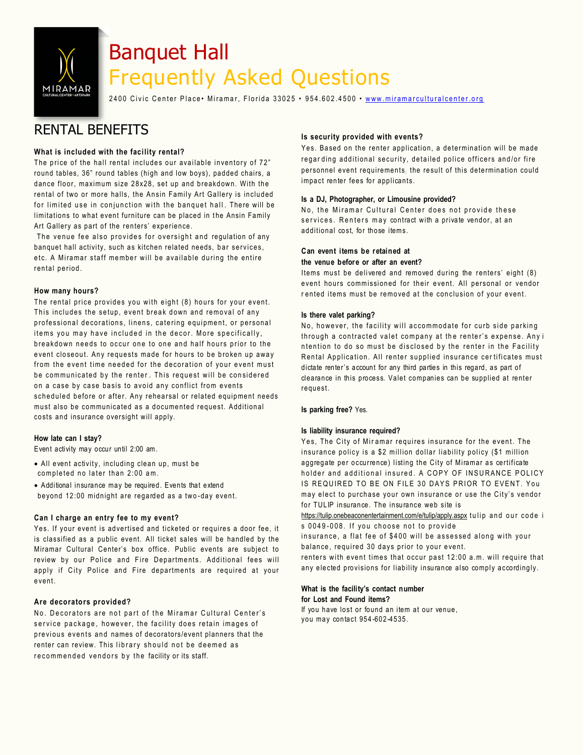

# Banquet Hall Frequently Asked Questions

2400 Civic Center Place • Miramar, Florida 33025 • 954.602.4500 • www.miramarculturalcenter.org

# RENTAL BENEFITS

# **What is included with the facility rental?**

The price of the hall rental includes our available inventory of 72" round tables, 36" round tables (high and low boys), padded chairs, a dance floor, maximum size 28x28, set up and breakdown. With the rental of two or more halls, the Ansin Family Art Gallery is included for limited use in conjunction with the banquet hall. There will be limitations to what event furniture can be placed in the Ansin Family Art Gallery as part of the renters' experience.

The venue fee also provides for oversight and regulation of any banquet hall activity, such as kitchen related needs, bar services, etc. A Miramar staff member will be available during the entire rental period.

# **How many hours?**

The rental price provides you with eight (8) hours for your event. This includes the setup, event break down and removal of any professional decorations, linens, catering equipment, or personal items you may have included in the decor. More specifically, breakdown needs to occur one to one and half hours prior to the event closeout. Any requests made for hours to be broken up away from the event time needed for the decoration of your event must be communicated by the renter. This request will be considered on a case by case basis to avoid any conflict from events scheduled before or after. Any rehearsal or related equipment needs must also be communicated as a documented request. Additional costs and insurance oversight will apply.

# **How late can I stay?**

Event activity may occur until 2:00 am.

- $\bullet$  All event activity, including clean up, must be completed no later than 2:00 am.
- Additional insurance may be required. Events that extend beyond 12:00 midnight are regarded as a two -day event.

# **Can I charge an entry fee to my event?**

Yes. If your event is advertised and ticketed or requires a door fee, it is classified as a public event. All ticket sales will be handled by the Miramar Cultural Center's box office. Public events are subject to review by our Police and Fire Departments. Additional fees will apply if City Police and Fire departments are required at your e vent.

#### **Are decorators provided?**

No. Decorators are not part of the Miramar Cultural Center's service package, however, the facility does retain images of previous events and names of decorators/event planners that the renter can review. This library should not be deemed as recommended vendors by the facility or its staff.

## **Is security provided with events?**

Yes. Based on the renter application, a determination will be made regarding additional security, detailed police officers and/or fire personnel event requirements; the result of this determination could impact renter fees for applicants.

#### **Is a DJ, Photographer, or Limousine provided?**

No, the Miramar Cultural Center does not provide these services. Renters may contract with a private vendor, at an additional cost, for those items.

## **Can event items be retained at**

#### **the venue before or after an event?**

Items must be delivered and removed during the renters' eight (8) event hours commissioned for their event. All personal or vendor rented items must be removed at the conclusion of your event.

### **Is there valet parking?**

No, however, the facility will accommodate for curb side parking through a contracted valet company at the renter's expense. Any i ntention to do so must be disclosed by the renter in the Facility Rental Application. All renter supplied insurance certificates must dictate renter's account for any third parties in this regard, as part of clearance in this process. Valet companies can be supplied at renter request.

#### **Is parking free?** Yes.

#### **Is liability insurance required?**

Yes, The City of Miramar requires insurance for the event. The insurance policy is a \$2 million dollar liability policy (\$1 million aggregate per occurrence) listing the City of Miramar as certificate holder and additional insured. A COPY OF INSURANCE POLICY IS REQUIRED TO BE ON FILE 30 DAYS PRIOR TO EVENT. You may elect to purchase your own insurance or use the City's vendor for TULIP insurance. The insurance web site is

https://tulip.onebeaconentertainment.com/e/tulip/apply.aspx tulip and our code i s 0049-008. If you choose not to provide

insurance, a flat fee of \$400 will be assessed along with your balance, required 30 days prior to your event.

renters with event times that occur past 12:00 a.m. wil[l require that](http://www.ebi-ins.com/e/) any elected provisions for liability insurance also comply accordingly.

#### **What is the facility's contact number for Lost and Found items?**

If you have lost or found an item at our venue, you may contact 954 -602-4535.